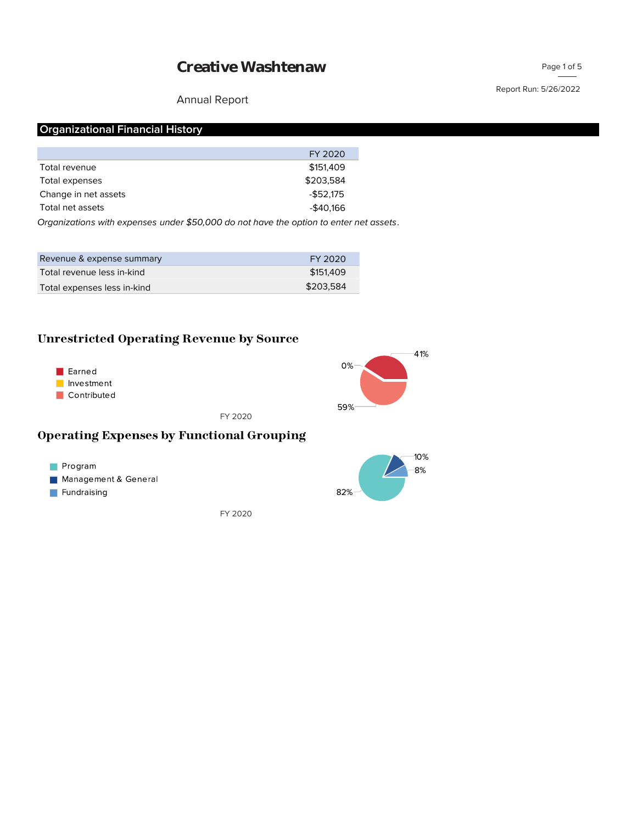#### Annual Report

## Report Run: 5/26/2022

## **Organizational Financial History**

|                      | FY 2020    |
|----------------------|------------|
| Total revenue        | \$151,409  |
| Total expenses       | \$203,584  |
| Change in net assets | $-$52.175$ |
| Total net assets     | $-$40,166$ |
|                      |            |

*Organizations with expenses under \$50,000 do not have the option to enter net assets.*

| Revenue & expense summary   | FY 2020   |
|-----------------------------|-----------|
| Total revenue less in-kind  | \$151,409 |
| Total expenses less in-kind | \$203.584 |

## **Unrestricted Operating Revenue by Source**





FY 2020

## **Operating Expenses by Functional Grouping**



FY 2020

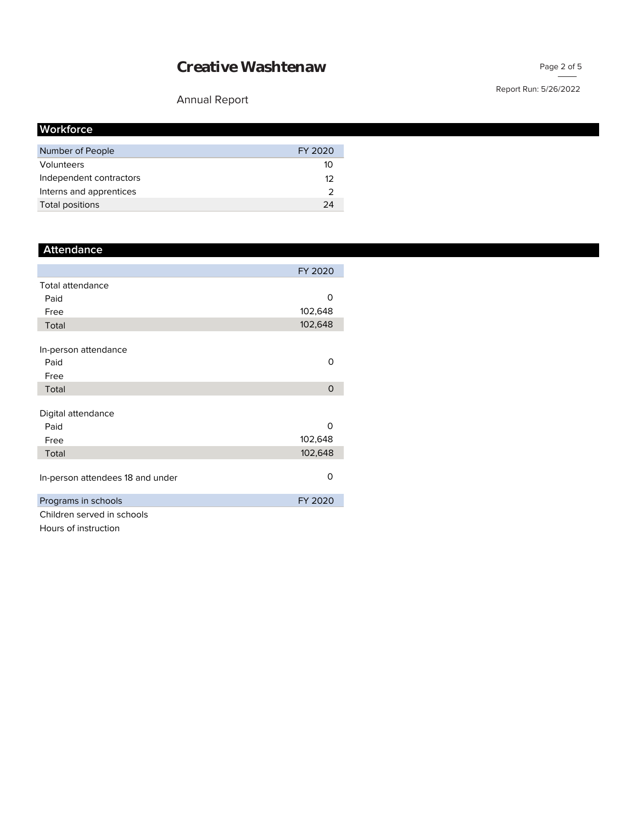## Annual Report

| <b>Workforce</b>        |         |
|-------------------------|---------|
| Number of People        | FY 2020 |
| Volunteers              | 10      |
| Independent contractors | 12      |
| Interns and apprentices |         |
| Total positions         | 24      |

## **Attendance**

|                                  | FY 2020 |
|----------------------------------|---------|
| <b>Total attendance</b>          |         |
| Paid                             | Ω       |
| Free                             | 102,648 |
| Total                            | 102,648 |
|                                  |         |
| In-person attendance             |         |
| Paid                             | O       |
| Free                             |         |
| Total                            | 0       |
|                                  |         |
| Digital attendance               |         |
| Paid                             | O       |
| Free                             | 102,648 |
| Total                            | 102,648 |
|                                  |         |
| In-person attendees 18 and under | Ω       |
| Programs in schools              | FY 2020 |
| Children served in schools       |         |

Hours of instruction

#### Report Run: 5/26/2022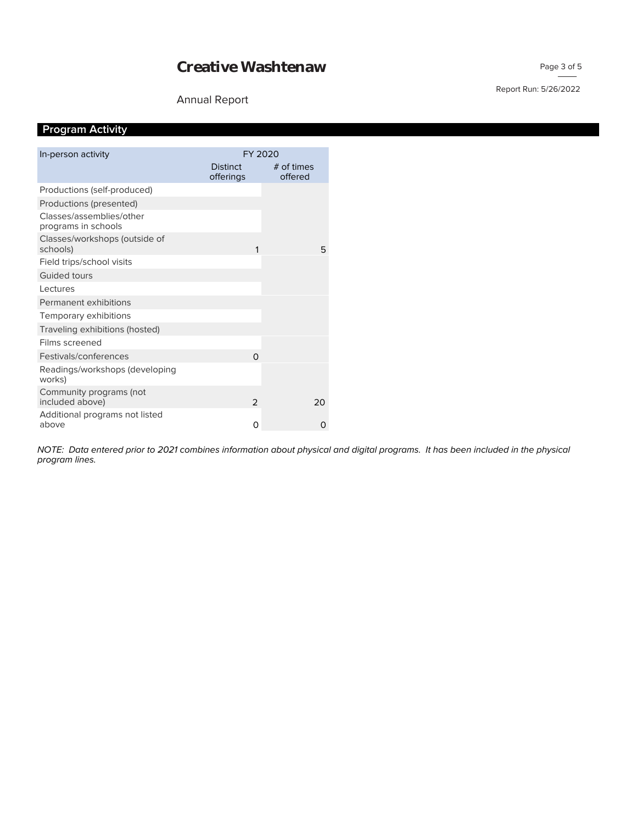## Annual Report

## **Program Activity**

|                                                 | FY 2020         |              |    |
|-------------------------------------------------|-----------------|--------------|----|
| In-person activity                              |                 |              |    |
|                                                 | <b>Distinct</b> | $#$ of times |    |
|                                                 | offerings       | offered      |    |
| Productions (self-produced)                     |                 |              |    |
| Productions (presented)                         |                 |              |    |
| Classes/assemblies/other<br>programs in schools |                 |              |    |
| Classes/workshops (outside of<br>schools)       | 1               |              | 5  |
| Field trips/school visits                       |                 |              |    |
| Guided tours                                    |                 |              |    |
| Lectures                                        |                 |              |    |
| Permanent exhibitions                           |                 |              |    |
| Temporary exhibitions                           |                 |              |    |
| Traveling exhibitions (hosted)                  |                 |              |    |
| Films screened                                  |                 |              |    |
| Festivals/conferences                           | $\Omega$        |              |    |
| Readings/workshops (developing<br>works)        |                 |              |    |
| Community programs (not<br>included above)      | $\mathcal{P}$   |              | 20 |
| Additional programs not listed                  |                 |              |    |
| above                                           | 0               |              | O  |

*program lines. NOTE: Data entered prior to 2021 combines information about physical and digital programs. It has been included in the physical* 

#### Page 3 of 5

Report Run: 5/26/2022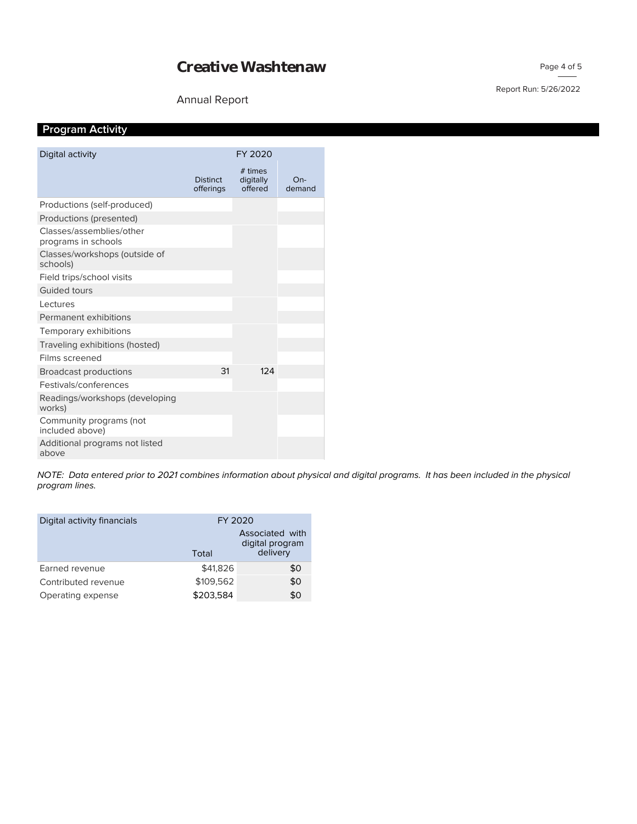## Annual Report

#### Report Run: 5/26/2022

Page 4 of 5

## **Program Activity**

| Digital activity                                | FY 2020                      |                                 |               |
|-------------------------------------------------|------------------------------|---------------------------------|---------------|
|                                                 | <b>Distinct</b><br>offerings | # times<br>digitally<br>offered | On-<br>demand |
| Productions (self-produced)                     |                              |                                 |               |
| Productions (presented)                         |                              |                                 |               |
| Classes/assemblies/other<br>programs in schools |                              |                                 |               |
| Classes/workshops (outside of<br>schools)       |                              |                                 |               |
| Field trips/school visits                       |                              |                                 |               |
| <b>Guided tours</b>                             |                              |                                 |               |
| Lectures                                        |                              |                                 |               |
| Permanent exhibitions                           |                              |                                 |               |
| Temporary exhibitions                           |                              |                                 |               |
| Traveling exhibitions (hosted)                  |                              |                                 |               |
| Films screened                                  |                              |                                 |               |
| <b>Broadcast productions</b>                    | 31                           | 124                             |               |
| Festivals/conferences                           |                              |                                 |               |
| Readings/workshops (developing<br>works)        |                              |                                 |               |
| Community programs (not<br>included above)      |                              |                                 |               |
| Additional programs not listed<br>above         |                              |                                 |               |

*program lines. NOTE: Data entered prior to 2021 combines information about physical and digital programs. It has been included in the physical* 

| Digital activity financials | FY 2020   |                                                |
|-----------------------------|-----------|------------------------------------------------|
|                             | Total     | Associated with<br>digital program<br>delivery |
| Earned revenue              | \$41,826  | \$0                                            |
| Contributed revenue         | \$109,562 | \$0                                            |
| Operating expense           | \$203,584 | \$0                                            |